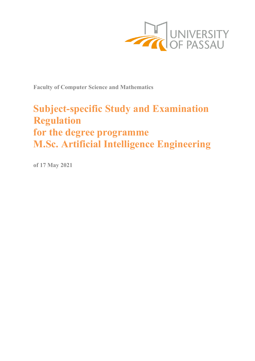

**Faculty of Computer Science and Mathematics**

# **Subject-specific Study and Examination Regulation for the degree programme M.Sc. Artificial Intelligence Engineering**

**of 17 May 2021**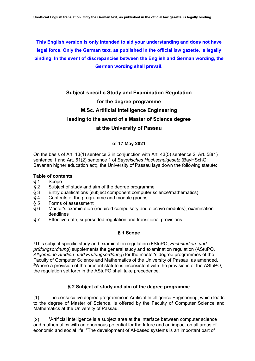**This English version is only intended to aid your understanding and does not have legal force. Only the German text, as published in the official law gazette, is legally binding. In the event of discrepancies between the English and German wording, the German wording shall prevail.**

# **Subject-specific Study and Examination Regulation for the degree programme M.Sc. Artificial Intelligence Engineering leading to the award of a Master of Science degree**

#### **at the University of Passau**

#### **of 17 May 2021**

On the basis of Art. 13(1) sentence 2 in conjunction with Art. 43(5) sentence 2, Art. 58(1) sentence 1 and Art. 61(2) sentence 1 of *Bayerisches Hochschulgesetz* (BayHSchG; Bavarian higher education act), the University of Passau lays down the following statute:

#### **Table of contents**

- 
- § 1 Scope<br>§ 2 Subjec
- § 2 Subject of study and aim of the degree programme<br>§ 3 Entry qualifications (subject component computer se Entry qualifications (subject component computer science/mathematics)
- § 4 Contents of the programme and module groups<br>§ 5 Forms of assessment
- 
- § 5 Forms of assessment<br>§ 6 Master's examination Master's examination (required compulsory and elective modules); examination deadlines
- § 7 Effective date, superseded regulation and transitional provisions

### **§ 1 Scope**

1This subject-specific study and examination regulation (FStuPO, *Fachstudien- und prüfungsordnung*) supplements the general study and examination regulation (AStuPO, *Allgemeine Studien- und Prüfungsordnung*) for the master's degree programmes of the Faculty of Computer Science and Mathematics of the University of Passau, as amended. 2Where a provision of the present statute is inconsistent with the provisions of the AStuPO, the regulation set forth in the AStuPO shall take precedence.

#### **§ 2 Subject of study and aim of the degree programme**

(1) The consecutive degree programme in Artificial Intelligence Engineering, which leads to the degree of Master of Science, is offered by the Faculty of Computer Science and Mathematics at the University of Passau.

 $(2)$  1Artificial intelligence is a subject area at the interface between computer science and mathematics with an enormous potential for the future and an impact on all areas of economic and social life. 2The development of AI-based systems is an important part of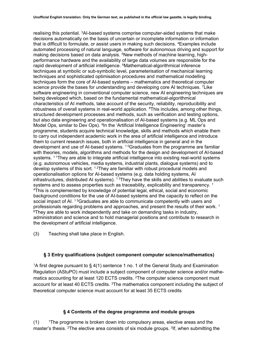realising this potential. 3AI-based systems comprise computer-aided systems that make decisions automatically on the basis of uncertain or incomplete information or information that is difficult to formulate, or assist users in making such decisions. 4Examples include automated processing of natural language, software for autonomous driving and support for making decisions based on data analysis. 5New methods of machine learning, highperformance hardware and the availability of large data volumes are responsible for the rapid development of artificial intelligence. <sup>6</sup>Mathematical-algorithmical inference techniques at symbolic or sub-symbolic level, parameterisation of mechanical learning techniques and sophisticated optimisation procedures and mathematical modelling techniques form the core of AI-based systems – mathematics and theoretical computer science provide the bases for understanding and developing core AI techniques. <sup>7</sup>Like software engineering in conventional computer science, new AI engineering techniques are being developed which, based on the fundamental mathematical-algorithmical characteristics of AI methods, take account of the security, reliability, reproducibility and robustness of overall systems in real-world application. 8This includes, among other things, structured development processes and methods, such as verification and testing options, but also data engineering and operationalisation of AI-based systems (e.g. ML Ops and Model Ops, similar to Dev Ops). 9In the 'Artificial Intelligence Engineering' master's programme, students acquire technical knowledge, skills and methods which enable them to carry out independent academic work in the area of artificial intelligence and introduce them to current research issues, both in artificial intelligence in general and in the development and use of AI-based systems. 1 0Graduates from the programme are familiar with theories, models, algorithms and methods for the design and development of AI-based systems. <sup>11</sup>They are able to integrate artificial intelligence into existing real-world systems (e.g. autonomous vehicles, media systems, industrial plants, dialogue systems) and to develop systems of this sort. <sup>12</sup>They are familiar with robust procedural models and operationalisation options for AI-based systems (e.g. data holding systems, AI infrastructures, distributed AI systems).  $13$ They have the skills and abilities to evaluate such systems and to assess properties such as traceability, explicability and transparency.<sup>1</sup> 4This is complemented by knowledge of potential legal, ethical, social and economic background conditions for the use of AI-based systems and the capacity to reflect on the social impact of AI. <sup>15</sup>Graduates are able to communicate competently with users and professionals regarding problems and approaches, and present the results of their work. 1 <sup>6</sup>They are able to work independently and take on demanding tasks in industry, administration and science and to hold managerial positions and contribute to research in the development of artificial intelligence.

(3) Teaching shall take place in English.

#### **§ 3 Entry qualifications (subject component computer science/mathematics)**

1A first degree pursuant to § 4(1) sentence 1 no. 1 of the General Study and Examination Regulation (AStuPO) must include a subject component of computer science and/or mathematics accounting for at least 120 ECTS credits. 2The computer science component must account for at least 40 ECTS credits. 3The mathematics component including the subject of theoretical computer science must account for at least 35 ECTS credits

#### **§ 4 Contents of the degree programme and module groups**

 $(1)$  1The programme is broken down into compulsory areas, elective areas and the master's thesis. <sup>2</sup>The elective area consists of six module groups. <sup>3</sup>If, when submitting the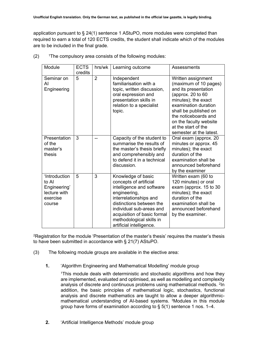application pursuant to § 24(1) sentence 1 AStuPO, more modules were completed than required to earn a total of 120 ECTS credits, the student shall indicate which of the modules are to be included in the final grade.

| Module                                                                       | <b>ECTS</b><br>credits | hrs/wk         | Learning outcome                                                                                                                                                                                                                                                   | Assessments                                                                                                                                                                                                                                                              |
|------------------------------------------------------------------------------|------------------------|----------------|--------------------------------------------------------------------------------------------------------------------------------------------------------------------------------------------------------------------------------------------------------------------|--------------------------------------------------------------------------------------------------------------------------------------------------------------------------------------------------------------------------------------------------------------------------|
| Seminar on<br>AI<br>Engineering                                              | 5                      | $\overline{2}$ | Independent<br>familiarisation with a<br>topic, written discussion,<br>oral expression and<br>presentation skills in<br>relation to a specialist<br>topic.                                                                                                         | Written assignment<br>(maximum of 10 pages)<br>and its presentation<br>(approx. $20$ to $60$<br>minutes); the exact<br>examination duration<br>shall be published on<br>the noticeboards and<br>on the faculty website<br>at the start of the<br>semester at the latest. |
| Presentation<br>of the<br>master's<br>thesis                                 | 3                      |                | Capacity of the student to<br>summarise the results of<br>the master's thesis briefly<br>and comprehensibly and<br>to defend it in a technical<br>discussion.                                                                                                      | Oral exam (approx. 20<br>minutes or approx. 45<br>minutes); the exact<br>duration of the<br>examination shall be<br>announced beforehand<br>by the examiner                                                                                                              |
| 'Introduction<br>to Al<br>Engineering'<br>lecture with<br>exercise<br>course | 5                      | 3              | Knowledge of basic<br>concepts of artificial<br>intelligence and software<br>engineering,<br>interrelationships and<br>distinctions between the<br>individual sub-areas and<br>acquisition of basic formal<br>methodological skills in<br>artificial intelligence. | Written exam (60 to<br>120 minutes) or oral<br>exam (approx. 15 to 30<br>minutes); the exact<br>duration of the<br>examination shall be<br>announced beforehand<br>by the examiner.                                                                                      |

 $(2)$  <sup>1</sup>The compulsory area consists of the following modules:

<sup>2</sup>Registration for the module 'Presentation of the master's thesis' requires the master's thesis to have been submitted in accordance with § 21(7) AStuPO.

- (3) The following module groups are available in the elective area:
	- **1.** 'Algorithm Engineering and Mathematical Modelling' module group

<sup>1</sup>This module deals with deterministic and stochastic algorithms and how they are implemented, evaluated and optimised, as well as modelling and complexity analysis of discrete and continuous problems using mathematical methods. <sup>2</sup>In addition, the basic principles of mathematical logic, stochastics, functional analysis and discrete mathematics are taught to allow a deeper algorithmicmathematical understanding of AI-based systems. 3Modules in this module group have forms of examination according to § 5(1) sentence 1 nos. 1–4.

**2.** 'Artificial Intelligence Methods' module group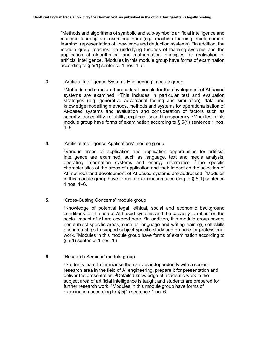1Methods and algorithms of symbolic and sub-symbolic artificial intelligence and machine learning are examined here (e.g. machine learning, reinforcement learning, representation of knowledge and deduction systems). <sup>2</sup>In addition, the module group teaches the underlying theories of learning systems and the application of algorithmical and mathematical principles for realisation of artificial intelligence. 3Modules in this module group have forms of examination according to  $\S$  5(1) sentence 1 nos. 1–5.

**3.** 'Artificial Intelligence Systems Engineering' module group

1Methods and structured procedural models for the development of AI-based systems are examined. 2This includes in particular test and evaluation strategies (e.g. generative adversarial testing and simulation), data and knowledge modelling methods, methods and systems for operationalisation of AI-based systems and evaluation and consideration of factors such as security, traceability, reliability, explicability and transparency. <sup>3</sup>Modules in this module group have forms of examination according to  $\S$  5(1) sentence 1 nos.  $1 - 5$ .

**4.** 'Artificial Intelligence Applications' module group

1Various areas of application and application opportunities for artificial intelligence are examined, such as language, text and media analysis, operating information systems and energy informatics. 2The specific characteristics of the areas of application and their impact on the selection of AI methods and development of AI-based systems are addressed. 3Modules in this module group have forms of examination according to  $\S$  5(1) sentence 1 nos. 1–6.

**5.** 'Cross-Cutting Concerns' module group

1Knowledge of potential legal, ethical, social and economic background conditions for the use of AI-based systems and the capacity to reflect on the social impact of AI are covered here. <sup>2</sup>In addition, this module group covers non-subject-specific areas, such as language and writing training, soft skills and internships to support subject-specific study and prepare for professional work. 3Modules in this module group have forms of examination according to § 5(1) sentence 1 nos. 16.

**6.** 'Research Seminar' module group

1Students learn to familiarise themselves independently with a current research area in the field of AI engineering, prepare it for presentation and deliver the presentation. 2Detailed knowledge of academic work in the subject area of artificial intelligence is taught and students are prepared for further research work. 3Modules in this module group have forms of examination according to  $\S$  5(1) sentence 1 no. 6.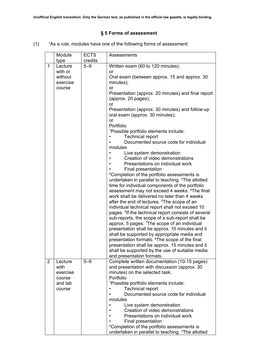## **§ 5 Forms of assessment**

 $(1)$  <sup>1</sup>As a rule, modules have one of the following forms of assessment:

|                | Module                                              | <b>ECTS</b> | Assessments                                                                                                                                                                                                                                                                                                                                                                                                                                                                                                                                                                                                                                                                                                                                                                                                                                                                                                                                                                                                                                                                                                                                                                                                                                                                                                                                                                                                                             |
|----------------|-----------------------------------------------------|-------------|-----------------------------------------------------------------------------------------------------------------------------------------------------------------------------------------------------------------------------------------------------------------------------------------------------------------------------------------------------------------------------------------------------------------------------------------------------------------------------------------------------------------------------------------------------------------------------------------------------------------------------------------------------------------------------------------------------------------------------------------------------------------------------------------------------------------------------------------------------------------------------------------------------------------------------------------------------------------------------------------------------------------------------------------------------------------------------------------------------------------------------------------------------------------------------------------------------------------------------------------------------------------------------------------------------------------------------------------------------------------------------------------------------------------------------------------|
|                | type                                                | credits     |                                                                                                                                                                                                                                                                                                                                                                                                                                                                                                                                                                                                                                                                                                                                                                                                                                                                                                                                                                                                                                                                                                                                                                                                                                                                                                                                                                                                                                         |
| $\mathbf{1}$   | Lecture<br>with or<br>without<br>exercise<br>course | $5 - 9$     | Written exam (60 to 120 minutes);<br>or<br>Oral exam (between approx. 15 and approx. 30<br>minutes);<br>or<br>Presentation (approx. 20 minutes) and final report<br>(approx. 20 pages);<br>or<br>Presentation (approx. 30 minutes) and follow-up<br>oral exam (approx. 30 minutes);<br>or<br>Portfolio<br><sup>1</sup> Possible portfolio elements include:<br><b>Technical report</b><br>Documented source code for individual<br>modules<br>Live system demonstration<br>Creation of video demonstrations<br>Presentations on individual work<br>Final presentation<br><sup>2</sup> Completion of the portfolio assessments is<br>undertaken in parallel to teaching. <sup>3</sup> The allotted<br>time for individual components of the portfolio<br>assessment may not exceed 4 weeks. <sup>4</sup> The final<br>work shall be delivered no later than 4 weeks<br>after the end of lectures. <sup>5</sup> The scope of an<br>individual technical report shall not exceed 10<br>pages. <sup>6</sup> If the technical report consists of several<br>sub-reports, the scope of a sub-report shall be<br>approx. 5 pages. <sup>7</sup> The scope of an individual<br>presentation shall be approx. 10 minutes and it<br>shall be supported by appropriate media and<br>presentation formats. <sup>8</sup> The scope of the final<br>presentation shall be approx. 15 minutes and it<br>shall be supported by the use of suitable media |
| $\overline{2}$ | Lecture                                             | $5 - 9$     | and presentation formats.<br>Complete written documentation (10-15 pages)                                                                                                                                                                                                                                                                                                                                                                                                                                                                                                                                                                                                                                                                                                                                                                                                                                                                                                                                                                                                                                                                                                                                                                                                                                                                                                                                                               |
|                | with<br>exercise<br>course<br>and lab<br>course     |             | and presentation with discussion (approx. 30<br>minutes) on the selected task.<br>Portfolio<br><sup>1</sup> Possible portfolio elements include:<br><b>Technical report</b><br>Documented source code for individual<br>modules<br>Live system demonstration<br>Creation of video demonstrations<br>Presentations on individual work<br>Final presentation<br><sup>2</sup> Completion of the portfolio assessments is<br>undertaken in parallel to teaching. <sup>3</sup> The allotted                                                                                                                                                                                                                                                                                                                                                                                                                                                                                                                                                                                                                                                                                                                                                                                                                                                                                                                                                  |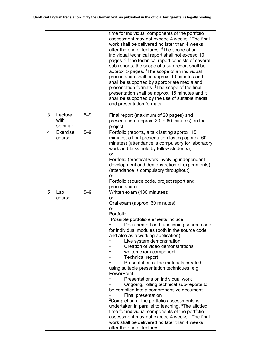|   |                            |         | time for individual components of the portfolio<br>assessment may not exceed 4 weeks. <sup>4</sup> The final<br>work shall be delivered no later than 4 weeks<br>after the end of lectures. <sup>5</sup> The scope of an<br>individual technical report shall not exceed 10<br>pages. <sup>6</sup> If the technical report consists of several<br>sub-reports, the scope of a sub-report shall be<br>approx. 5 pages. <sup>7</sup> The scope of an individual<br>presentation shall be approx. 10 minutes and it<br>shall be supported by appropriate media and<br>presentation formats. <sup>8</sup> The scope of the final                                                                                                                                                                                                                                                                                                                                                                       |
|---|----------------------------|---------|----------------------------------------------------------------------------------------------------------------------------------------------------------------------------------------------------------------------------------------------------------------------------------------------------------------------------------------------------------------------------------------------------------------------------------------------------------------------------------------------------------------------------------------------------------------------------------------------------------------------------------------------------------------------------------------------------------------------------------------------------------------------------------------------------------------------------------------------------------------------------------------------------------------------------------------------------------------------------------------------------|
|   |                            |         | presentation shall be approx. 15 minutes and it<br>shall be supported by the use of suitable media<br>and presentation formats.                                                                                                                                                                                                                                                                                                                                                                                                                                                                                                                                                                                                                                                                                                                                                                                                                                                                    |
| 3 | Lecture<br>with<br>seminar | $5 - 9$ | Final report (maximum of 20 pages) and<br>presentation (approx. 20 to 60 minutes) on the<br>project.                                                                                                                                                                                                                                                                                                                                                                                                                                                                                                                                                                                                                                                                                                                                                                                                                                                                                               |
| 4 | Exercise<br>course         | $5 - 9$ | Portfolio (reports, a talk lasting approx. 15<br>minutes, a final presentation lasting approx. 60<br>minutes) (attendance is compulsory for laboratory<br>work and talks held by fellow students);<br>or<br>Portfolio (practical work involving independent<br>development and demonstration of experiments)<br>(attendance is compulsory throughout)<br>or<br>Portfolio (source code, project report and                                                                                                                                                                                                                                                                                                                                                                                                                                                                                                                                                                                          |
|   |                            |         | presentation)                                                                                                                                                                                                                                                                                                                                                                                                                                                                                                                                                                                                                                                                                                                                                                                                                                                                                                                                                                                      |
| 5 | Lab<br>course              | $5 - 9$ | Written exam (180 minutes);<br>or<br>Oral exam (approx. 60 minutes)<br>or<br>Portfolio<br><sup>1</sup> Possible portfolio elements include:<br>Documented and functioning source code<br>for individual modules (both in the source code<br>and also as a working application)<br>Live system demonstration<br>Creation of video demonstrations<br>written exam component<br><b>Technical report</b><br>Presentation of the materials created<br>using suitable presentation techniques, e.g.<br><b>PowerPoint</b><br>Presentations on individual work<br>Ongoing, rolling technical sub-reports to<br>be compiled into a comprehensive document.<br>Final presentation<br><sup>2</sup> Completion of the portfolio assessments is<br>undertaken in parallel to teaching. <sup>3</sup> The allotted<br>time for individual components of the portfolio<br>assessment may not exceed 4 weeks. <sup>4</sup> The final<br>work shall be delivered no later than 4 weeks<br>after the end of lectures. |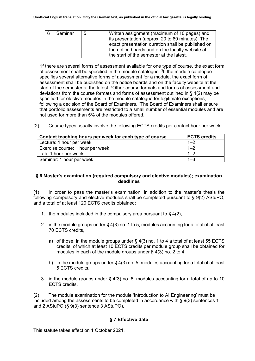| 6 | Seminar | 5 | Written assignment (maximum of 10 pages) and<br>its presentation (approx. 20 to 60 minutes). The<br>exact presentation duration shall be published on<br>the notice boards and on the faculty website at |
|---|---------|---|----------------------------------------------------------------------------------------------------------------------------------------------------------------------------------------------------------|
|   |         |   | the start of the semester at the latest.                                                                                                                                                                 |

2If there are several forms of assessment available for one type of course, the exact form of assessment shall be specified in the module catalogue. 3If the module catalogue specifies several alternative forms of assessment for a module, the exact form of assessment shall be published on the notice boards and on the faculty website at the start of the semester at the latest. 4Other course formats and forms of assessment and deviations from the course formats and forms of assessment outlined in § 4(2) may be specified for elective modules in the module catalogue for legitimate exceptions, following a decision of the Board of Examiners. 5The Board of Examiners shall ensure that portfolio assessments are restricted to a small number of essential modules and are not used for more than 5% of the modules offered.

(2) Course types usually involve the following ECTS credits per contact hour per week:

| Contact teaching hours per week for each type of course | <b>ECTS credits</b> |
|---------------------------------------------------------|---------------------|
| Lecture: 1 hour per week                                | $1 - 2$             |
| Exercise course: 1 hour per week                        | $1 - 2$             |
| Lab: 1 hour per week                                    | $1 - 2$             |
| Seminar: 1 hour per week                                | $1 - 3$             |

#### **§ 6 Master's examination (required compulsory and elective modules); examination deadlines**

(1) In order to pass the master's examination, in addition to the master's thesis the following compulsory and elective modules shall be completed pursuant to § 9(2) AStuPO, and a total of at least 120 ECTS credits obtained:

- 1. the modules included in the compulsory area pursuant to § 4(2),
- 2. in the module groups under § 4(3) no. 1 to 5, modules accounting for a total of at least 70 ECTS credits,
	- a) of those, in the module groups under § 4(3) no. 1 to 4 a total of at least 55 ECTS credits, of which at least 10 ECTS credits per module group shall be obtained for modules in each of the module groups under § 4(3) no. 2 to 4,
	- b) in the module groups under § 4(3) no. 5, modules accounting for a total of at least 5 ECTS credits,
- 3. in the module groups under § 4(3) no. 6, modules accounting for a total of up to 10 ECTS credits.

(2) The module examination for the module 'Introduction to AI Engineering' must be included among the assessments to be completed in accordance with § 9(3) sentences 1 and 2 AStuPO (§ 9(3) sentence 3 AStuPO).

#### **§ 7 Effective date**

This statute takes effect on 1 October 2021.